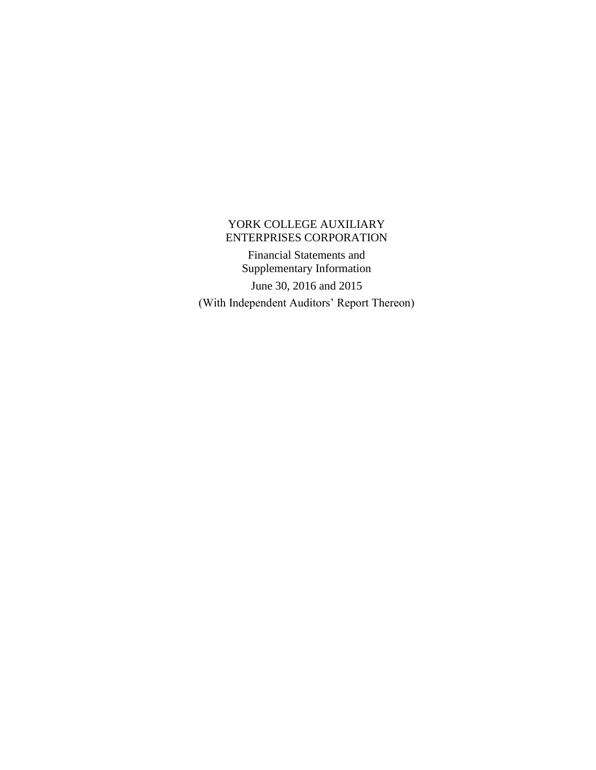Financial Statements and Supplementary Information

June 30, 2016 and 2015 (With Independent Auditors' Report Thereon)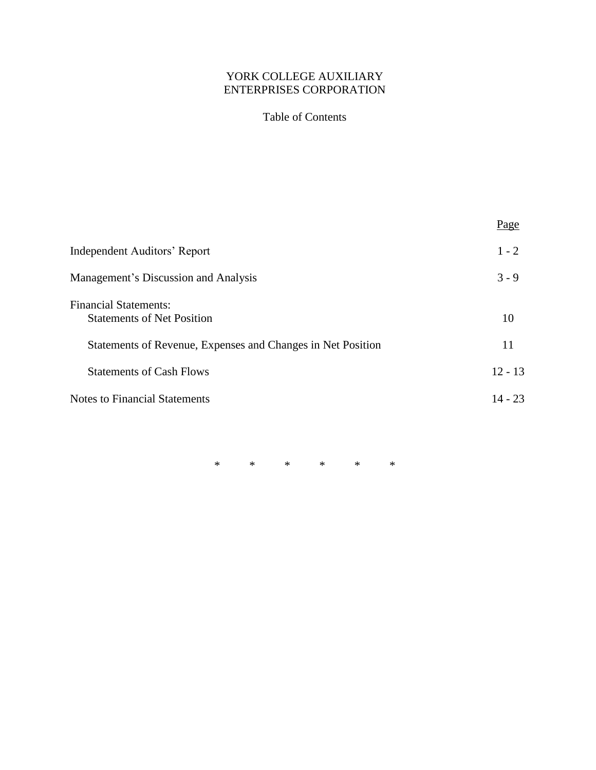# Table of Contents

|                                                                   | Page      |
|-------------------------------------------------------------------|-----------|
| <b>Independent Auditors' Report</b>                               | $1 - 2$   |
| Management's Discussion and Analysis                              | $3 - 9$   |
| <b>Financial Statements:</b><br><b>Statements of Net Position</b> | 10        |
| Statements of Revenue, Expenses and Changes in Net Position       | 11        |
| <b>Statements of Cash Flows</b>                                   | $12 - 13$ |
| <b>Notes to Financial Statements</b>                              | $14 - 23$ |
|                                                                   |           |

\* \* \* \* \* \*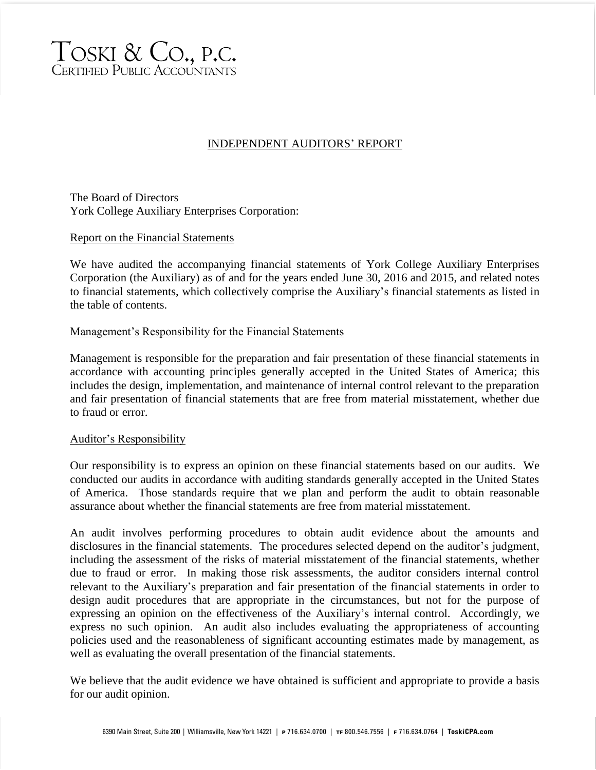

# INDEPENDENT AUDITORS' REPORT

The Board of Directors York College Auxiliary Enterprises Corporation:

#### Report on the Financial Statements

We have audited the accompanying financial statements of York College Auxiliary Enterprises Corporation (the Auxiliary) as of and for the years ended June 30, 2016 and 2015, and related notes to financial statements, which collectively comprise the Auxiliary's financial statements as listed in the table of contents.

### Management's Responsibility for the Financial Statements

Management is responsible for the preparation and fair presentation of these financial statements in accordance with accounting principles generally accepted in the United States of America; this includes the design, implementation, and maintenance of internal control relevant to the preparation and fair presentation of financial statements that are free from material misstatement, whether due to fraud or error.

#### Auditor's Responsibility

Our responsibility is to express an opinion on these financial statements based on our audits. We conducted our audits in accordance with auditing standards generally accepted in the United States of America. Those standards require that we plan and perform the audit to obtain reasonable assurance about whether the financial statements are free from material misstatement.

An audit involves performing procedures to obtain audit evidence about the amounts and disclosures in the financial statements. The procedures selected depend on the auditor's judgment, including the assessment of the risks of material misstatement of the financial statements, whether due to fraud or error. In making those risk assessments, the auditor considers internal control relevant to the Auxiliary's preparation and fair presentation of the financial statements in order to design audit procedures that are appropriate in the circumstances, but not for the purpose of expressing an opinion on the effectiveness of the Auxiliary's internal control. Accordingly, we express no such opinion. An audit also includes evaluating the appropriateness of accounting policies used and the reasonableness of significant accounting estimates made by management, as well as evaluating the overall presentation of the financial statements.

We believe that the audit evidence we have obtained is sufficient and appropriate to provide a basis for our audit opinion.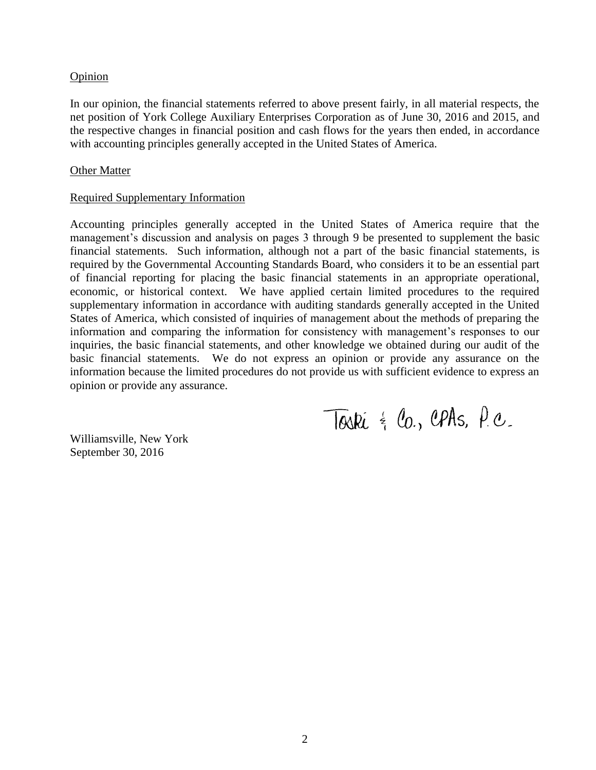#### Opinion

In our opinion, the financial statements referred to above present fairly, in all material respects, the net position of York College Auxiliary Enterprises Corporation as of June 30, 2016 and 2015, and the respective changes in financial position and cash flows for the years then ended, in accordance with accounting principles generally accepted in the United States of America.

#### Other Matter

#### Required Supplementary Information

Accounting principles generally accepted in the United States of America require that the management's discussion and analysis on pages 3 through 9 be presented to supplement the basic financial statements. Such information, although not a part of the basic financial statements, is required by the Governmental Accounting Standards Board, who considers it to be an essential part of financial reporting for placing the basic financial statements in an appropriate operational, economic, or historical context. We have applied certain limited procedures to the required supplementary information in accordance with auditing standards generally accepted in the United States of America, which consisted of inquiries of management about the methods of preparing the information and comparing the information for consistency with management's responses to our inquiries, the basic financial statements, and other knowledge we obtained during our audit of the basic financial statements. We do not express an opinion or provide any assurance on the information because the limited procedures do not provide us with sufficient evidence to express an opinion or provide any assurance.

Torki  $\frac{1}{2}$  Co., CPAs, P.C.

Williamsville, New York September 30, 2016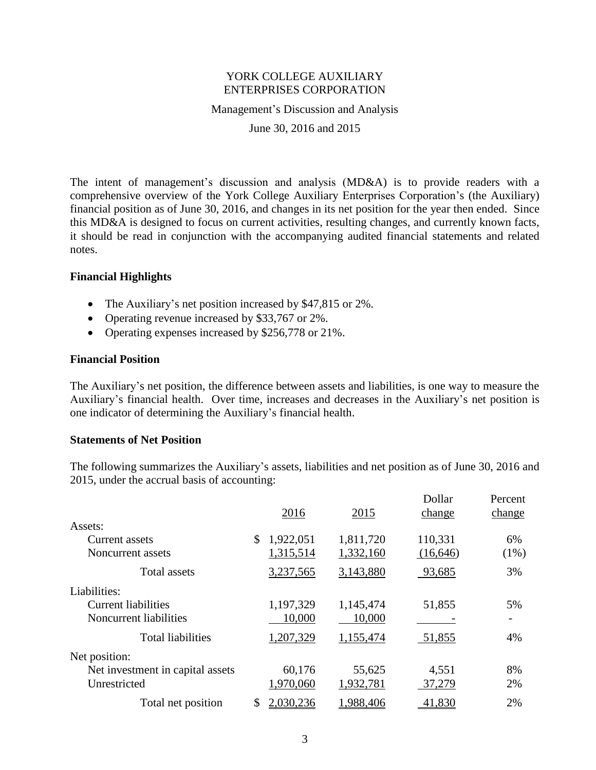Management's Discussion and Analysis

June 30, 2016 and 2015

The intent of management's discussion and analysis (MD&A) is to provide readers with a comprehensive overview of the York College Auxiliary Enterprises Corporation's (the Auxiliary) financial position as of June 30, 2016, and changes in its net position for the year then ended. Since this MD&A is designed to focus on current activities, resulting changes, and currently known facts, it should be read in conjunction with the accompanying audited financial statements and related notes.

### **Financial Highlights**

- The Auxiliary's net position increased by \$47,815 or 2%.
- Operating revenue increased by \$33,767 or 2%.
- Operating expenses increased by \$256,778 or 21%.

#### **Financial Position**

The Auxiliary's net position, the difference between assets and liabilities, is one way to measure the Auxiliary's financial health. Over time, increases and decreases in the Auxiliary's net position is one indicator of determining the Auxiliary's financial health.

#### **Statements of Net Position**

The following summarizes the Auxiliary's assets, liabilities and net position as of June 30, 2016 and 2015, under the accrual basis of accounting:

|                                  | 2016            | 2015      | Dollar<br>change | Percent<br>change |
|----------------------------------|-----------------|-----------|------------------|-------------------|
| Assets:                          |                 |           |                  |                   |
| Current assets                   | \$<br>1,922,051 | 1,811,720 | 110,331          | 6%                |
| Noncurrent assets                | 1,315,514       | 1,332,160 | (16, 646)        | $(1\%)$           |
| <b>Total assets</b>              | 3,237,565       | 3,143,880 | 93,685           | 3%                |
| Liabilities:                     |                 |           |                  |                   |
| <b>Current liabilities</b>       | 1,197,329       | 1,145,474 | 51,855           | 5%                |
| Noncurrent liabilities           | 10,000          | 10,000    |                  |                   |
| <b>Total liabilities</b>         | 1,207,329       | 1,155,474 | 51,855           | 4%                |
| Net position:                    |                 |           |                  |                   |
| Net investment in capital assets | 60,176          | 55,625    | 4,551            | 8%                |
| Unrestricted                     | 1,970,060       | 1,932,781 | 37,279           | 2%                |
| Total net position               | \$<br>2,030,236 | 1,988,406 | 41,830           | 2%                |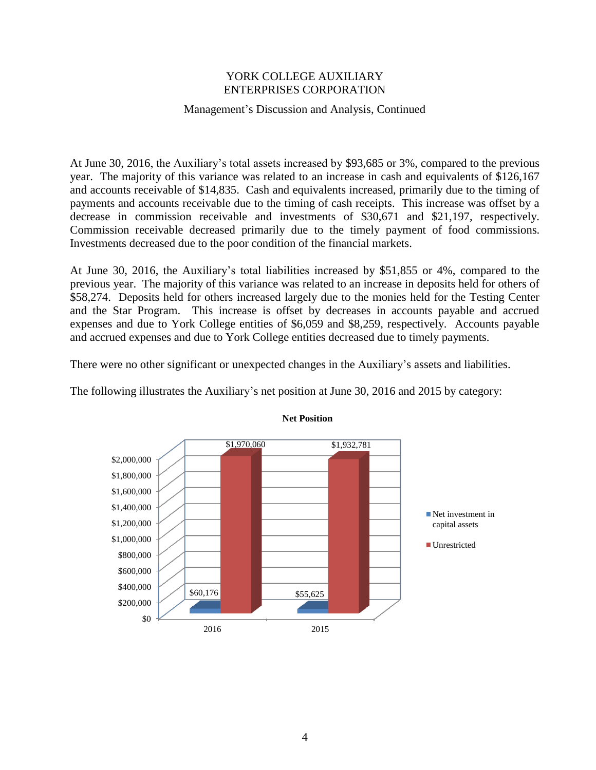# Management's Discussion and Analysis, Continued

At June 30, 2016, the Auxiliary's total assets increased by \$93,685 or 3%, compared to the previous year. The majority of this variance was related to an increase in cash and equivalents of \$126,167 and accounts receivable of \$14,835. Cash and equivalents increased, primarily due to the timing of payments and accounts receivable due to the timing of cash receipts. This increase was offset by a decrease in commission receivable and investments of \$30,671 and \$21,197, respectively. Commission receivable decreased primarily due to the timely payment of food commissions. Investments decreased due to the poor condition of the financial markets.

At June 30, 2016, the Auxiliary's total liabilities increased by \$51,855 or 4%, compared to the previous year. The majority of this variance was related to an increase in deposits held for others of \$58,274. Deposits held for others increased largely due to the monies held for the Testing Center and the Star Program. This increase is offset by decreases in accounts payable and accrued expenses and due to York College entities of \$6,059 and \$8,259, respectively. Accounts payable and accrued expenses and due to York College entities decreased due to timely payments.

There were no other significant or unexpected changes in the Auxiliary's assets and liabilities.





#### **Net Position**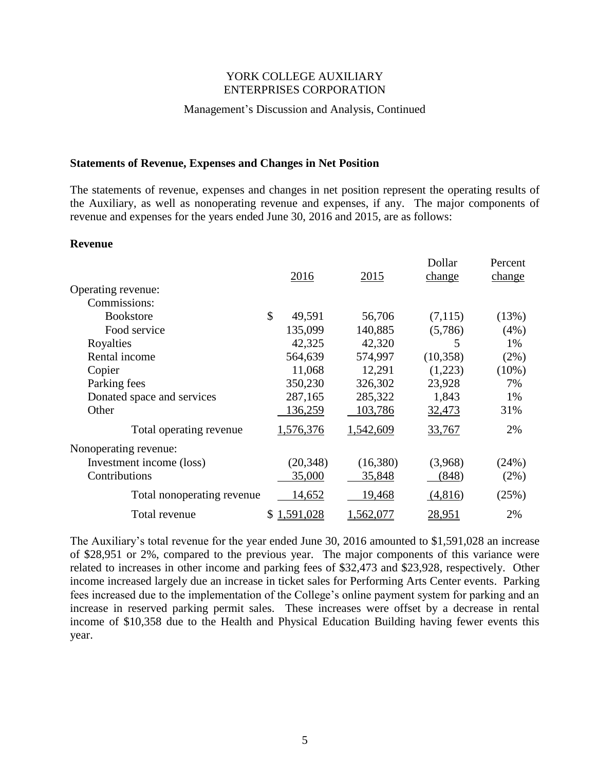#### Management's Discussion and Analysis, Continued

#### **Statements of Revenue, Expenses and Changes in Net Position**

The statements of revenue, expenses and changes in net position represent the operating results of the Auxiliary, as well as nonoperating revenue and expenses, if any. The major components of revenue and expenses for the years ended June 30, 2016 and 2015, are as follows:

#### **Revenue**

|                            | 2016           | 2015      | Dollar<br>change | Percent<br>change |
|----------------------------|----------------|-----------|------------------|-------------------|
| Operating revenue:         |                |           |                  |                   |
| Commissions:               |                |           |                  |                   |
| <b>Bookstore</b>           | \$<br>49,591   | 56,706    | (7,115)          | (13%)             |
| Food service               | 135,099        | 140,885   | (5,786)          | (4%)              |
| Royalties                  | 42,325         | 42,320    | 5                | 1%                |
| Rental income              | 564,639        | 574,997   | (10, 358)        | (2%)              |
| Copier                     | 11,068         | 12,291    | (1,223)          | $(10\%)$          |
| Parking fees               | 350,230        | 326,302   | 23,928           | 7%                |
| Donated space and services | 287,165        | 285,322   | 1,843            | 1%                |
| Other                      | 136,259        | 103,786   | 32,473           | 31%               |
| Total operating revenue    | 1,576,376      | 1,542,609 | 33,767           | 2%                |
| Nonoperating revenue:      |                |           |                  |                   |
| Investment income (loss)   | (20, 348)      | (16,380)  | (3,968)          | (24%)             |
| Contributions              | 35,000         | 35,848    | (848)            | $(2\%)$           |
| Total nonoperating revenue | 14,652         | 19,468    | (4,816)          | (25%)             |
| Total revenue              | 1,591,028<br>S | 1,562,077 | <u>28,951</u>    | 2%                |

The Auxiliary's total revenue for the year ended June 30, 2016 amounted to \$1,591,028 an increase of \$28,951 or 2%, compared to the previous year. The major components of this variance were related to increases in other income and parking fees of \$32,473 and \$23,928, respectively. Other income increased largely due an increase in ticket sales for Performing Arts Center events. Parking fees increased due to the implementation of the College's online payment system for parking and an increase in reserved parking permit sales. These increases were offset by a decrease in rental income of \$10,358 due to the Health and Physical Education Building having fewer events this year.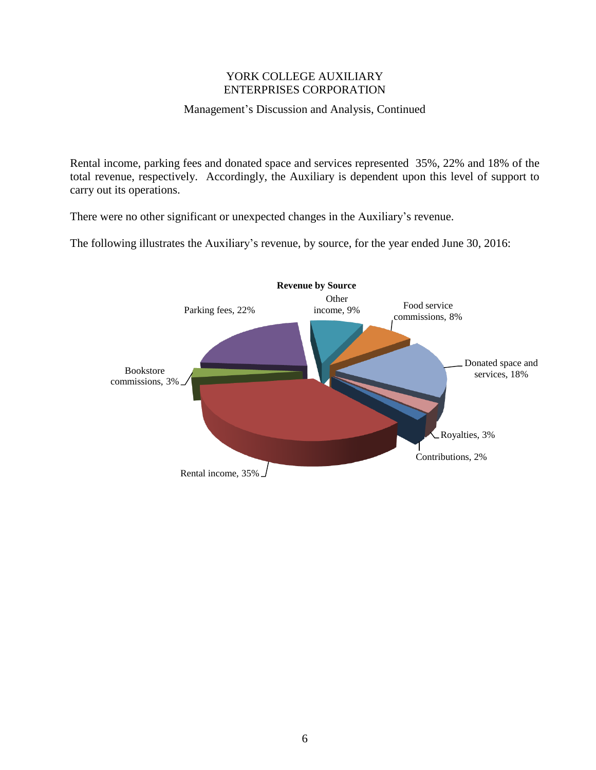# Management's Discussion and Analysis, Continued

Rental income, parking fees and donated space and services represented 35%, 22% and 18% of the total revenue, respectively. Accordingly, the Auxiliary is dependent upon this level of support to carry out its operations.

There were no other significant or unexpected changes in the Auxiliary's revenue.

The following illustrates the Auxiliary's revenue, by source, for the year ended June 30, 2016:

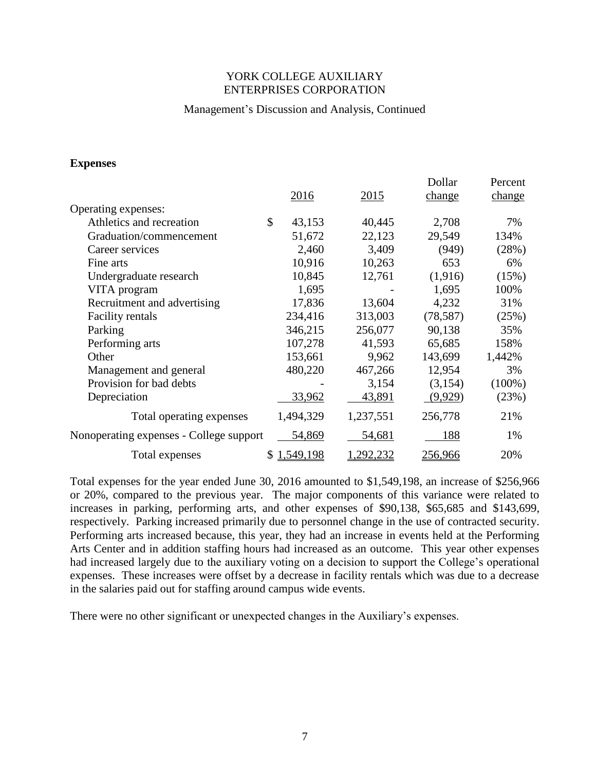### Management's Discussion and Analysis, Continued

#### **Expenses**

|                                         |             |         |                  | Dollar    | Percent   |
|-----------------------------------------|-------------|---------|------------------|-----------|-----------|
|                                         | 2016        |         | 2015             | change    | change    |
| Operating expenses:                     |             |         |                  |           |           |
| Athletics and recreation                | \$          | 43,153  | 40,445           | 2,708     | 7%        |
| Graduation/commencement                 |             | 51,672  | 22,123           | 29,549    | 134%      |
| Career services                         |             | 2,460   | 3,409            | (949)     | (28%)     |
| Fine arts                               |             | 10,916  | 10,263           | 653       | 6%        |
| Undergraduate research                  |             | 10,845  | 12,761           | (1,916)   | (15%)     |
| VITA program                            |             | 1,695   |                  | 1,695     | 100%      |
| Recruitment and advertising             |             | 17,836  | 13,604           | 4,232     | 31%       |
| <b>Facility rentals</b>                 | 234,416     |         | 313,003          | (78, 587) | (25%)     |
| Parking                                 | 346,215     |         | 256,077          | 90,138    | 35%       |
| Performing arts                         |             | 107,278 | 41,593           | 65,685    | 158%      |
| Other                                   | 153,661     |         | 9,962            | 143,699   | 1,442%    |
| Management and general                  | 480,220     |         | 467,266          | 12,954    | 3%        |
| Provision for bad debts                 |             |         | 3,154            | (3,154)   | $(100\%)$ |
| Depreciation                            |             | 33,962  | 43,891           | (9,929)   | (23%)     |
| Total operating expenses                | 1,494,329   |         | 1,237,551        | 256,778   | 21%       |
| Nonoperating expenses - College support |             | 54,869  | 54,681           | 188       | 1%        |
| Total expenses                          | \$1,549,198 |         | <u>1,292,232</u> | 256,966   | 20%       |

Total expenses for the year ended June 30, 2016 amounted to \$1,549,198, an increase of \$256,966 or 20%, compared to the previous year. The major components of this variance were related to increases in parking, performing arts, and other expenses of \$90,138, \$65,685 and \$143,699, respectively. Parking increased primarily due to personnel change in the use of contracted security. Performing arts increased because, this year, they had an increase in events held at the Performing Arts Center and in addition staffing hours had increased as an outcome. This year other expenses had increased largely due to the auxiliary voting on a decision to support the College's operational expenses. These increases were offset by a decrease in facility rentals which was due to a decrease in the salaries paid out for staffing around campus wide events.

There were no other significant or unexpected changes in the Auxiliary's expenses.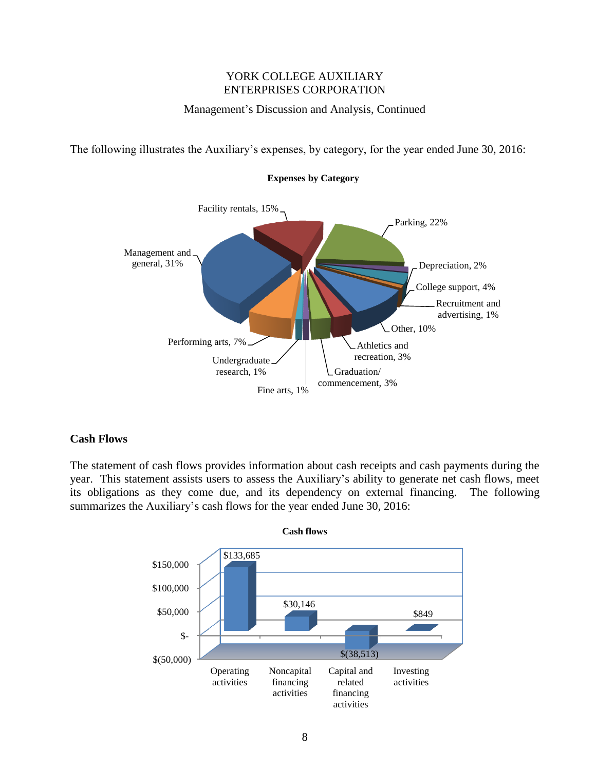# Management's Discussion and Analysis, Continued

The following illustrates the Auxiliary's expenses, by category, for the year ended June 30, 2016:



**Expenses by Category**

# **Cash Flows**

The statement of cash flows provides information about cash receipts and cash payments during the year. This statement assists users to assess the Auxiliary's ability to generate net cash flows, meet its obligations as they come due, and its dependency on external financing. The following summarizes the Auxiliary's cash flows for the year ended June 30, 2016:

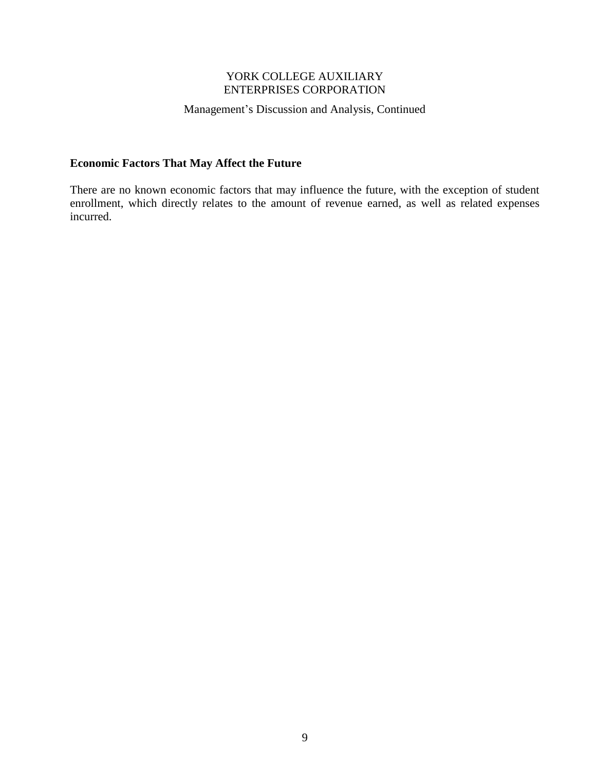# Management's Discussion and Analysis, Continued

# **Economic Factors That May Affect the Future**

There are no known economic factors that may influence the future, with the exception of student enrollment, which directly relates to the amount of revenue earned, as well as related expenses incurred.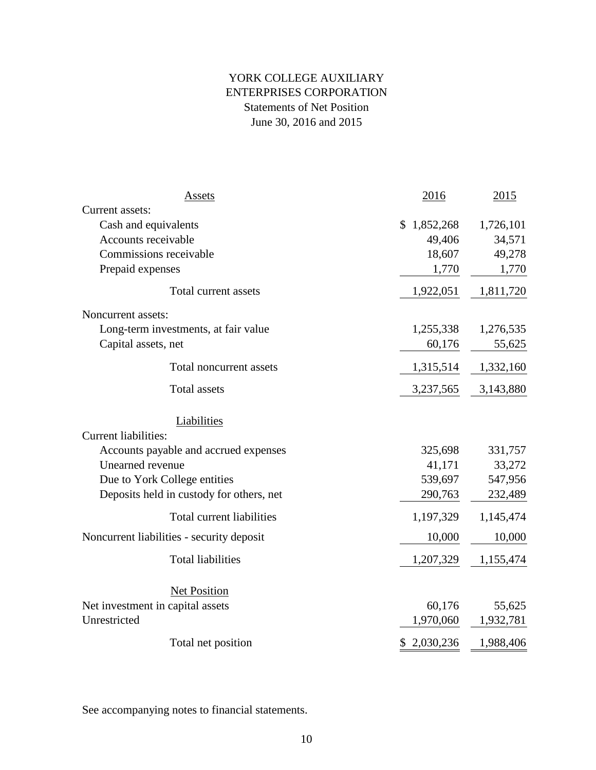# YORK COLLEGE AUXILIARY Statements of Net Position June 30, 2016 and 2015 ENTERPRISES CORPORATION

| Assets                                    | 2016            | 2015      |
|-------------------------------------------|-----------------|-----------|
| Current assets:                           |                 |           |
| Cash and equivalents                      | 1,852,268<br>S. | 1,726,101 |
| Accounts receivable                       | 49,406          | 34,571    |
| Commissions receivable                    | 18,607          | 49,278    |
| Prepaid expenses                          | 1,770           | 1,770     |
| Total current assets                      | 1,922,051       | 1,811,720 |
| Noncurrent assets:                        |                 |           |
| Long-term investments, at fair value      | 1,255,338       | 1,276,535 |
| Capital assets, net                       | 60,176          | 55,625    |
| Total noncurrent assets                   | 1,315,514       | 1,332,160 |
| <b>Total assets</b>                       | 3,237,565       | 3,143,880 |
| Liabilities                               |                 |           |
| <b>Current liabilities:</b>               |                 |           |
| Accounts payable and accrued expenses     | 325,698         | 331,757   |
| Unearned revenue                          | 41,171          | 33,272    |
| Due to York College entities              | 539,697         | 547,956   |
| Deposits held in custody for others, net  | 290,763         | 232,489   |
| Total current liabilities                 | 1,197,329       | 1,145,474 |
| Noncurrent liabilities - security deposit | 10,000          | 10,000    |
| <b>Total liabilities</b>                  | 1,207,329       | 1,155,474 |
| Net Position                              |                 |           |
| Net investment in capital assets          | 60,176          | 55,625    |
| Unrestricted                              | 1,970,060       | 1,932,781 |
| Total net position                        | 2,030,236<br>\$ | 1,988,406 |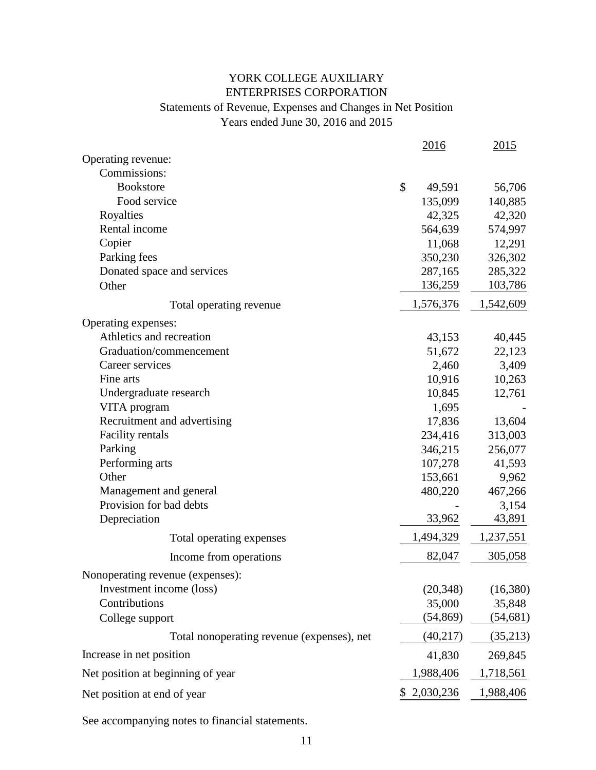# YORK COLLEGE AUXILIARY ENTERPRISES CORPORATION Statements of Revenue, Expenses and Changes in Net Position Years ended June 30, 2016 and 2015

|                                            | 2016         | 2015      |
|--------------------------------------------|--------------|-----------|
| Operating revenue:                         |              |           |
| Commissions:                               |              |           |
| <b>Bookstore</b>                           | \$<br>49,591 | 56,706    |
| Food service                               | 135,099      | 140,885   |
| Royalties                                  | 42,325       | 42,320    |
| Rental income                              | 564,639      | 574,997   |
| Copier                                     | 11,068       | 12,291    |
| Parking fees                               | 350,230      | 326,302   |
| Donated space and services                 | 287,165      | 285,322   |
| Other                                      | 136,259      | 103,786   |
| Total operating revenue                    | 1,576,376    | 1,542,609 |
| Operating expenses:                        |              |           |
| Athletics and recreation                   | 43,153       | 40,445    |
| Graduation/commencement                    | 51,672       | 22,123    |
| Career services                            | 2,460        | 3,409     |
| Fine arts                                  | 10,916       | 10,263    |
| Undergraduate research                     | 10,845       | 12,761    |
| VITA program                               | 1,695        |           |
| Recruitment and advertising                | 17,836       | 13,604    |
| <b>Facility rentals</b>                    | 234,416      | 313,003   |
| Parking                                    | 346,215      | 256,077   |
| Performing arts                            | 107,278      | 41,593    |
| Other                                      | 153,661      | 9,962     |
| Management and general                     | 480,220      | 467,266   |
| Provision for bad debts                    |              | 3,154     |
| Depreciation                               | 33,962       | 43,891    |
| Total operating expenses                   | 1,494,329    | 1,237,551 |
| Income from operations                     | 82,047       | 305,058   |
| Nonoperating revenue (expenses):           |              |           |
| Investment income (loss)                   | (20, 348)    | (16,380)  |
| Contributions                              | 35,000       | 35,848    |
| College support                            | (54, 869)    | (54, 681) |
| Total nonoperating revenue (expenses), net | (40, 217)    | (35,213)  |
| Increase in net position                   | 41,830       | 269,845   |
| Net position at beginning of year          | 1,988,406    | 1,718,561 |
| Net position at end of year                | 2,030,236    | 1,988,406 |
|                                            |              |           |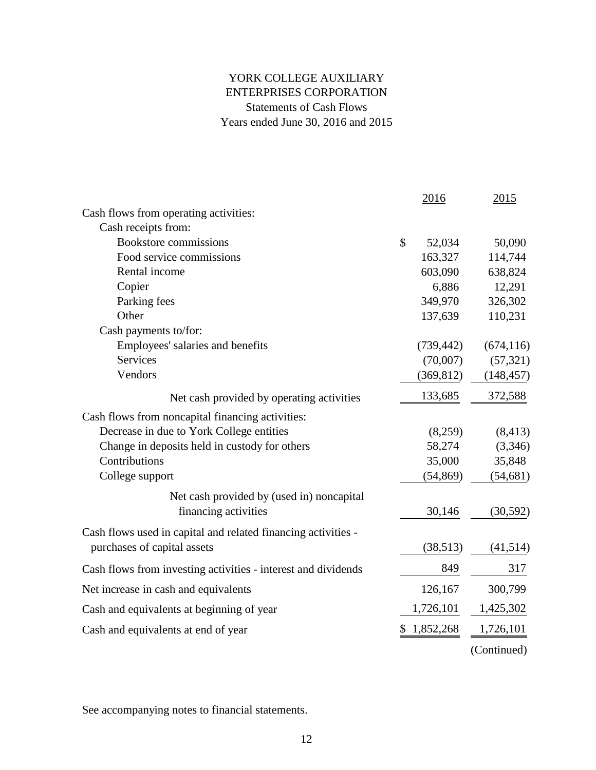# ENTERPRISES CORPORATION YORK COLLEGE AUXILIARY Statements of Cash Flows Years ended June 30, 2016 and 2015

|                                                               |               | 2016       | 2015        |
|---------------------------------------------------------------|---------------|------------|-------------|
| Cash flows from operating activities:                         |               |            |             |
| Cash receipts from:                                           |               |            |             |
| <b>Bookstore commissions</b>                                  | $\mathcal{S}$ | 52,034     | 50,090      |
| Food service commissions                                      |               | 163,327    | 114,744     |
| Rental income                                                 |               | 603,090    | 638,824     |
| Copier                                                        |               | 6,886      | 12,291      |
| Parking fees                                                  |               | 349,970    | 326,302     |
| Other                                                         |               | 137,639    | 110,231     |
| Cash payments to/for:                                         |               |            |             |
| Employees' salaries and benefits                              |               | (739, 442) | (674, 116)  |
| <b>Services</b>                                               |               | (70,007)   | (57, 321)   |
| Vendors                                                       |               | (369, 812) | (148, 457)  |
| Net cash provided by operating activities                     |               | 133,685    | 372,588     |
| Cash flows from noncapital financing activities:              |               |            |             |
| Decrease in due to York College entities                      |               | (8,259)    | (8, 413)    |
| Change in deposits held in custody for others                 |               | 58,274     | (3,346)     |
| Contributions                                                 |               | 35,000     | 35,848      |
| College support                                               |               | (54, 869)  | (54, 681)   |
| Net cash provided by (used in) noncapital                     |               |            |             |
| financing activities                                          |               | 30,146     | (30, 592)   |
| Cash flows used in capital and related financing activities - |               |            |             |
| purchases of capital assets                                   |               | (38,513)   | (41,514)    |
| Cash flows from investing activities - interest and dividends |               | 849        | 317         |
| Net increase in cash and equivalents                          |               | 126,167    | 300,799     |
| Cash and equivalents at beginning of year                     |               | 1,726,101  | 1,425,302   |
| Cash and equivalents at end of year                           | \$            | 1,852,268  | 1,726,101   |
|                                                               |               |            | (Continued) |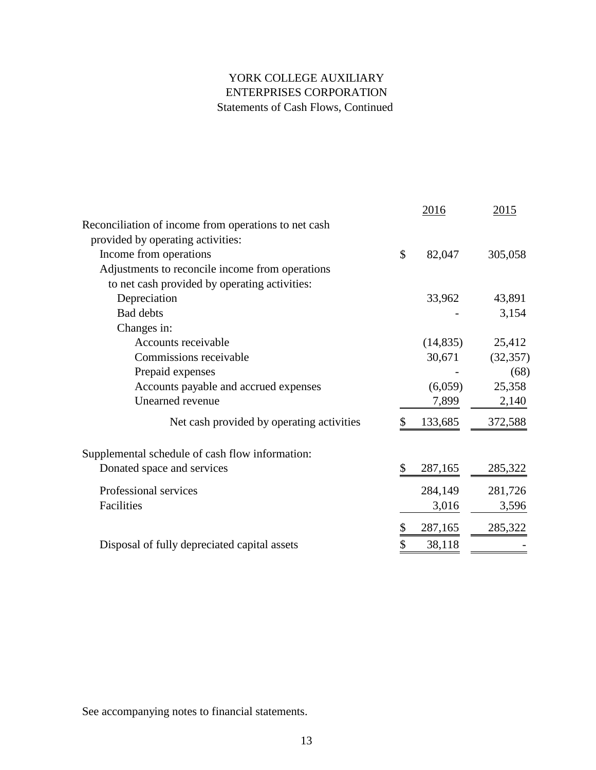# ENTERPRISES CORPORATION YORK COLLEGE AUXILIARY Statements of Cash Flows, Continued

|                                                      | 2016          | 2015      |
|------------------------------------------------------|---------------|-----------|
| Reconciliation of income from operations to net cash |               |           |
| provided by operating activities:                    |               |           |
| Income from operations                               | \$<br>82,047  | 305,058   |
| Adjustments to reconcile income from operations      |               |           |
| to net cash provided by operating activities:        |               |           |
| Depreciation                                         | 33,962        | 43,891    |
| <b>Bad debts</b>                                     |               | 3,154     |
| Changes in:                                          |               |           |
| Accounts receivable                                  | (14, 835)     | 25,412    |
| Commissions receivable                               | 30,671        | (32, 357) |
| Prepaid expenses                                     |               | (68)      |
| Accounts payable and accrued expenses                | (6,059)       | 25,358    |
| Unearned revenue                                     | 7,899         | 2,140     |
| Net cash provided by operating activities            | \$<br>133,685 | 372,588   |
| Supplemental schedule of cash flow information:      |               |           |
| Donated space and services                           | \$<br>287,165 | 285,322   |
| Professional services                                | 284,149       | 281,726   |
| Facilities                                           | 3,016         | 3,596     |
|                                                      | 287,165       | 285,322   |
| Disposal of fully depreciated capital assets         | \$<br>38,118  |           |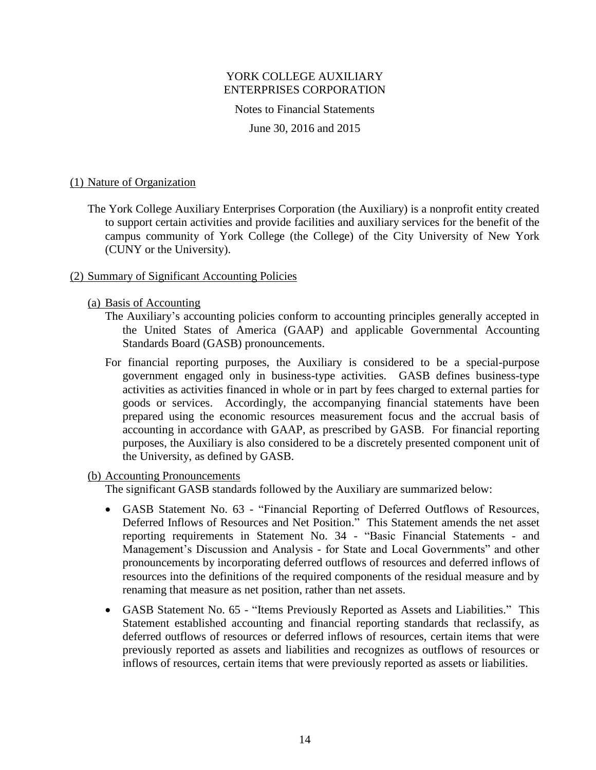Notes to Financial Statements

June 30, 2016 and 2015

### (1) Nature of Organization

The York College Auxiliary Enterprises Corporation (the Auxiliary) is a nonprofit entity created to support certain activities and provide facilities and auxiliary services for the benefit of the campus community of York College (the College) of the City University of New York (CUNY or the University).

## (2) Summary of Significant Accounting Policies

- (a) Basis of Accounting
	- The Auxiliary's accounting policies conform to accounting principles generally accepted in the United States of America (GAAP) and applicable Governmental Accounting Standards Board (GASB) pronouncements.
	- For financial reporting purposes, the Auxiliary is considered to be a special-purpose government engaged only in business-type activities. GASB defines business-type activities as activities financed in whole or in part by fees charged to external parties for goods or services. Accordingly, the accompanying financial statements have been prepared using the economic resources measurement focus and the accrual basis of accounting in accordance with GAAP, as prescribed by GASB. For financial reporting purposes, the Auxiliary is also considered to be a discretely presented component unit of the University, as defined by GASB.

### (b) Accounting Pronouncements

The significant GASB standards followed by the Auxiliary are summarized below:

- GASB Statement No. 63 "Financial Reporting of Deferred Outflows of Resources, Deferred Inflows of Resources and Net Position." This Statement amends the net asset reporting requirements in Statement No. 34 - "Basic Financial Statements - and Management's Discussion and Analysis - for State and Local Governments" and other pronouncements by incorporating deferred outflows of resources and deferred inflows of resources into the definitions of the required components of the residual measure and by renaming that measure as net position, rather than net assets.
- GASB Statement No. 65 "Items Previously Reported as Assets and Liabilities." This Statement established accounting and financial reporting standards that reclassify, as deferred outflows of resources or deferred inflows of resources, certain items that were previously reported as assets and liabilities and recognizes as outflows of resources or inflows of resources, certain items that were previously reported as assets or liabilities.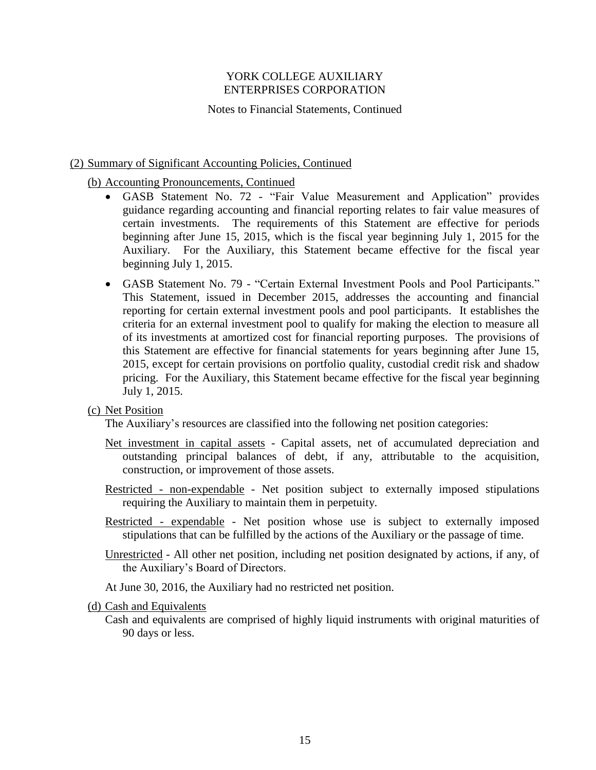### Notes to Financial Statements, Continued

## (2) Summary of Significant Accounting Policies, Continued

# (b) Accounting Pronouncements, Continued

- GASB Statement No. 72 "Fair Value Measurement and Application" provides guidance regarding accounting and financial reporting relates to fair value measures of certain investments. The requirements of this Statement are effective for periods beginning after June 15, 2015, which is the fiscal year beginning July 1, 2015 for the Auxiliary. For the Auxiliary, this Statement became effective for the fiscal year beginning July 1, 2015.
- GASB Statement No. 79 "Certain External Investment Pools and Pool Participants." This Statement, issued in December 2015, addresses the accounting and financial reporting for certain external investment pools and pool participants. It establishes the criteria for an external investment pool to qualify for making the election to measure all of its investments at amortized cost for financial reporting purposes. The provisions of this Statement are effective for financial statements for years beginning after June 15, 2015, except for certain provisions on portfolio quality, custodial credit risk and shadow pricing. For the Auxiliary, this Statement became effective for the fiscal year beginning July 1, 2015.

### (c) Net Position

The Auxiliary's resources are classified into the following net position categories:

- Net investment in capital assets Capital assets, net of accumulated depreciation and outstanding principal balances of debt, if any, attributable to the acquisition, construction, or improvement of those assets.
- Restricted non-expendable Net position subject to externally imposed stipulations requiring the Auxiliary to maintain them in perpetuity.
- Restricted expendable Net position whose use is subject to externally imposed stipulations that can be fulfilled by the actions of the Auxiliary or the passage of time.
- Unrestricted All other net position, including net position designated by actions, if any, of the Auxiliary's Board of Directors.
- At June 30, 2016, the Auxiliary had no restricted net position.

### (d) Cash and Equivalents

Cash and equivalents are comprised of highly liquid instruments with original maturities of 90 days or less.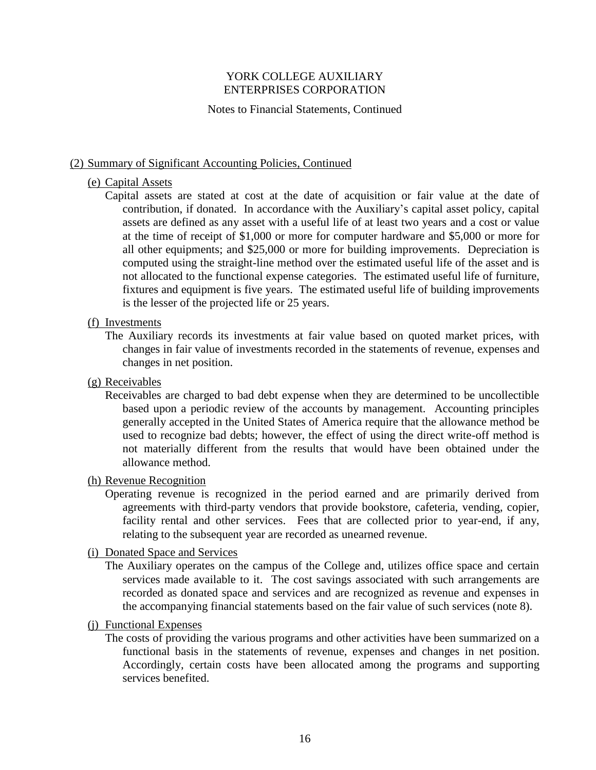#### Notes to Financial Statements, Continued

#### (2) Summary of Significant Accounting Policies, Continued

#### (e) Capital Assets

Capital assets are stated at cost at the date of acquisition or fair value at the date of contribution, if donated. In accordance with the Auxiliary's capital asset policy, capital assets are defined as any asset with a useful life of at least two years and a cost or value at the time of receipt of \$1,000 or more for computer hardware and \$5,000 or more for all other equipments; and \$25,000 or more for building improvements. Depreciation is computed using the straight-line method over the estimated useful life of the asset and is not allocated to the functional expense categories. The estimated useful life of furniture, fixtures and equipment is five years. The estimated useful life of building improvements is the lesser of the projected life or 25 years.

#### (f) Investments

The Auxiliary records its investments at fair value based on quoted market prices, with changes in fair value of investments recorded in the statements of revenue, expenses and changes in net position.

### (g) Receivables

Receivables are charged to bad debt expense when they are determined to be uncollectible based upon a periodic review of the accounts by management. Accounting principles generally accepted in the United States of America require that the allowance method be used to recognize bad debts; however, the effect of using the direct write-off method is not materially different from the results that would have been obtained under the allowance method.

### (h) Revenue Recognition

Operating revenue is recognized in the period earned and are primarily derived from agreements with third-party vendors that provide bookstore, cafeteria, vending, copier, facility rental and other services. Fees that are collected prior to year-end, if any, relating to the subsequent year are recorded as unearned revenue.

### (i) Donated Space and Services

The Auxiliary operates on the campus of the College and, utilizes office space and certain services made available to it. The cost savings associated with such arrangements are recorded as donated space and services and are recognized as revenue and expenses in the accompanying financial statements based on the fair value of such services (note 8).

#### (j) Functional Expenses

The costs of providing the various programs and other activities have been summarized on a functional basis in the statements of revenue, expenses and changes in net position. Accordingly, certain costs have been allocated among the programs and supporting services benefited.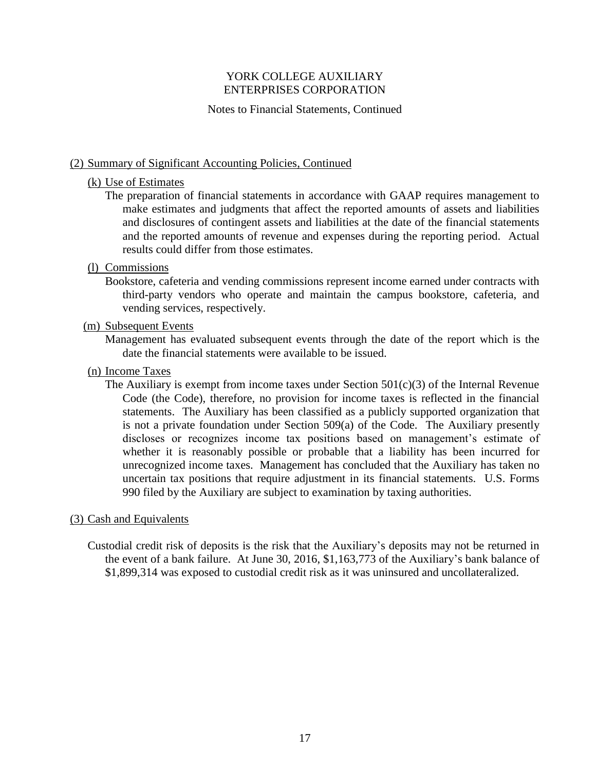### Notes to Financial Statements, Continued

### (2) Summary of Significant Accounting Policies, Continued

### (k) Use of Estimates

The preparation of financial statements in accordance with GAAP requires management to make estimates and judgments that affect the reported amounts of assets and liabilities and disclosures of contingent assets and liabilities at the date of the financial statements and the reported amounts of revenue and expenses during the reporting period. Actual results could differ from those estimates.

## (l) Commissions

Bookstore, cafeteria and vending commissions represent income earned under contracts with third-party vendors who operate and maintain the campus bookstore, cafeteria, and vending services, respectively.

### (m) Subsequent Events

Management has evaluated subsequent events through the date of the report which is the date the financial statements were available to be issued.

## (n) Income Taxes

The Auxiliary is exempt from income taxes under Section  $501(c)(3)$  of the Internal Revenue Code (the Code), therefore, no provision for income taxes is reflected in the financial statements. The Auxiliary has been classified as a publicly supported organization that is not a private foundation under Section 509(a) of the Code. The Auxiliary presently discloses or recognizes income tax positions based on management's estimate of whether it is reasonably possible or probable that a liability has been incurred for unrecognized income taxes. Management has concluded that the Auxiliary has taken no uncertain tax positions that require adjustment in its financial statements. U.S. Forms 990 filed by the Auxiliary are subject to examination by taxing authorities.

### (3) Cash and Equivalents

Custodial credit risk of deposits is the risk that the Auxiliary's deposits may not be returned in the event of a bank failure. At June 30, 2016, \$1,163,773 of the Auxiliary's bank balance of \$1,899,314 was exposed to custodial credit risk as it was uninsured and uncollateralized.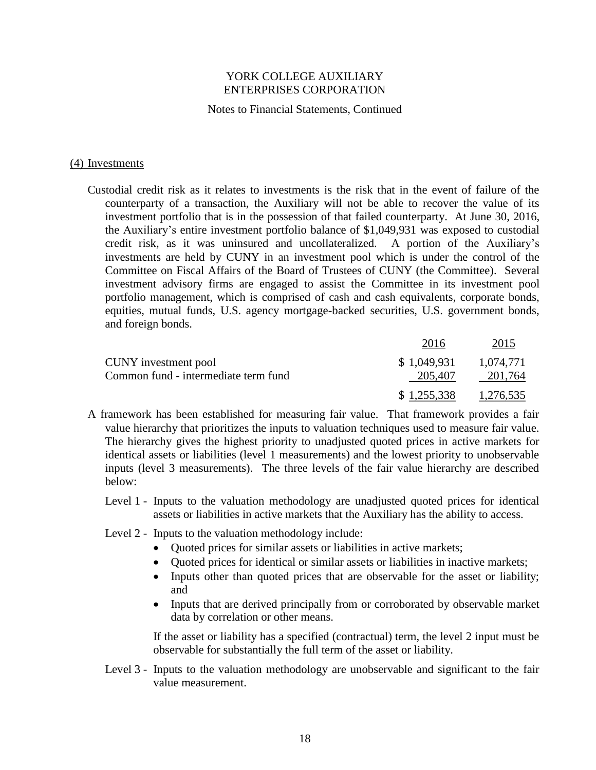#### Notes to Financial Statements, Continued

#### (4) Investments

Custodial credit risk as it relates to investments is the risk that in the event of failure of the counterparty of a transaction, the Auxiliary will not be able to recover the value of its investment portfolio that is in the possession of that failed counterparty. At June 30, 2016, the Auxiliary's entire investment portfolio balance of \$1,049,931 was exposed to custodial credit risk, as it was uninsured and uncollateralized. A portion of the Auxiliary's investments are held by CUNY in an investment pool which is under the control of the Committee on Fiscal Affairs of the Board of Trustees of CUNY (the Committee). Several investment advisory firms are engaged to assist the Committee in its investment pool portfolio management, which is comprised of cash and cash equivalents, corporate bonds, equities, mutual funds, U.S. agency mortgage-backed securities, U.S. government bonds, and foreign bonds.

|                                      | 2016        | 2015      |
|--------------------------------------|-------------|-----------|
| CUNY investment pool                 | \$1,049,931 | 1.074.771 |
| Common fund - intermediate term fund | 205,407     | 201.764   |
|                                      | \$1,255,338 | 1,276,535 |

- A framework has been established for measuring fair value. That framework provides a fair value hierarchy that prioritizes the inputs to valuation techniques used to measure fair value. The hierarchy gives the highest priority to unadjusted quoted prices in active markets for identical assets or liabilities (level 1 measurements) and the lowest priority to unobservable inputs (level 3 measurements). The three levels of the fair value hierarchy are described below:
	- Level 1 Inputs to the valuation methodology are unadjusted quoted prices for identical assets or liabilities in active markets that the Auxiliary has the ability to access.
	- Level 2 Inputs to the valuation methodology include:
		- Quoted prices for similar assets or liabilities in active markets;
		- Quoted prices for identical or similar assets or liabilities in inactive markets;
		- Inputs other than quoted prices that are observable for the asset or liability; and
		- Inputs that are derived principally from or corroborated by observable market data by correlation or other means.

If the asset or liability has a specified (contractual) term, the level 2 input must be observable for substantially the full term of the asset or liability.

Level 3 - Inputs to the valuation methodology are unobservable and significant to the fair value measurement.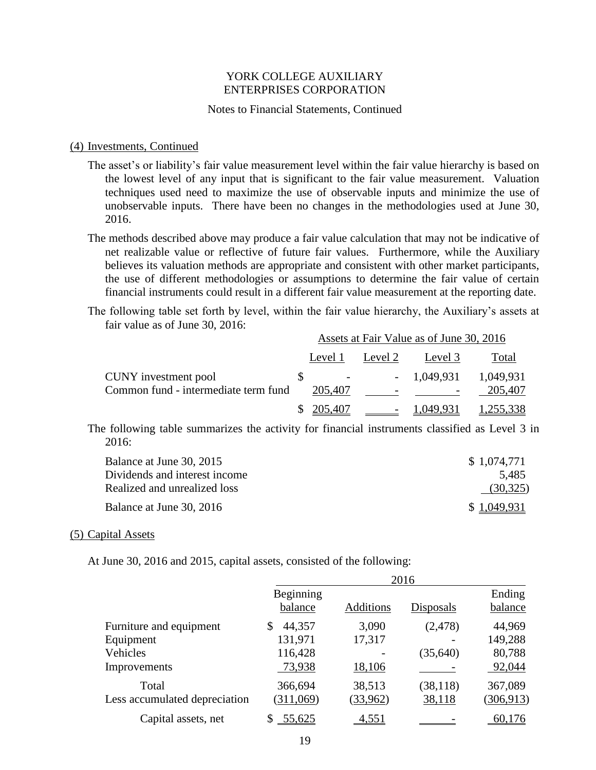#### Notes to Financial Statements, Continued

#### (4) Investments, Continued

- The asset's or liability's fair value measurement level within the fair value hierarchy is based on the lowest level of any input that is significant to the fair value measurement. Valuation techniques used need to maximize the use of observable inputs and minimize the use of unobservable inputs. There have been no changes in the methodologies used at June 30, 2016.
- The methods described above may produce a fair value calculation that may not be indicative of net realizable value or reflective of future fair values. Furthermore, while the Auxiliary believes its valuation methods are appropriate and consistent with other market participants, the use of different methodologies or assumptions to determine the fair value of certain financial instruments could result in a different fair value measurement at the reporting date.
- The following table set forth by level, within the fair value hierarchy, the Auxiliary's assets at fair value as of June 30, 2016:

|                                      | Assets at Fair Value as of June 30, 2016 |           |                                    |              |           |
|--------------------------------------|------------------------------------------|-----------|------------------------------------|--------------|-----------|
|                                      |                                          | Level 1   | Level 2                            | Level 3      | Total     |
| CUNY investment pool                 |                                          |           |                                    | $-1,049,931$ | 1,049,931 |
| Common fund - intermediate term fund |                                          | 205,407   | $\overline{\phantom{0}}$           |              | 205,407   |
|                                      |                                          | \$205,407 | $\sim$ $\sim$ $\sim$ $\sim$ $\sim$ | 1,049,931    | 1,255,338 |

The following table summarizes the activity for financial instruments classified as Level 3 in 2016:

| Balance at June 30, 2015      | \$1,074,771 |
|-------------------------------|-------------|
| Dividends and interest income | 5.485       |
| Realized and unrealized loss  | (30,325)    |
| Balance at June 30, 2016      | \$1.049.931 |

#### (5) Capital Assets

At June 30, 2016 and 2015, capital assets, consisted of the following:

|                               | 2016                 |           |           |                   |  |  |
|-------------------------------|----------------------|-----------|-----------|-------------------|--|--|
|                               | Beginning<br>balance | Additions | Disposals | Ending<br>balance |  |  |
| Furniture and equipment       | 44,357<br>\$         | 3,090     | (2, 478)  | 44,969            |  |  |
| Equipment                     | 131,971              | 17,317    |           | 149,288           |  |  |
| Vehicles                      | 116,428              |           | (35, 640) | 80,788            |  |  |
| Improvements                  | 73,938               | 18,106    |           | 92,044            |  |  |
| Total                         | 366,694              | 38,513    | (38, 118) | 367,089           |  |  |
| Less accumulated depreciation | (311,069)            | (33,962)  | 38,118    | (306, 913)        |  |  |
| Capital assets, net           | 55,625               | 4,551     |           | 60,176            |  |  |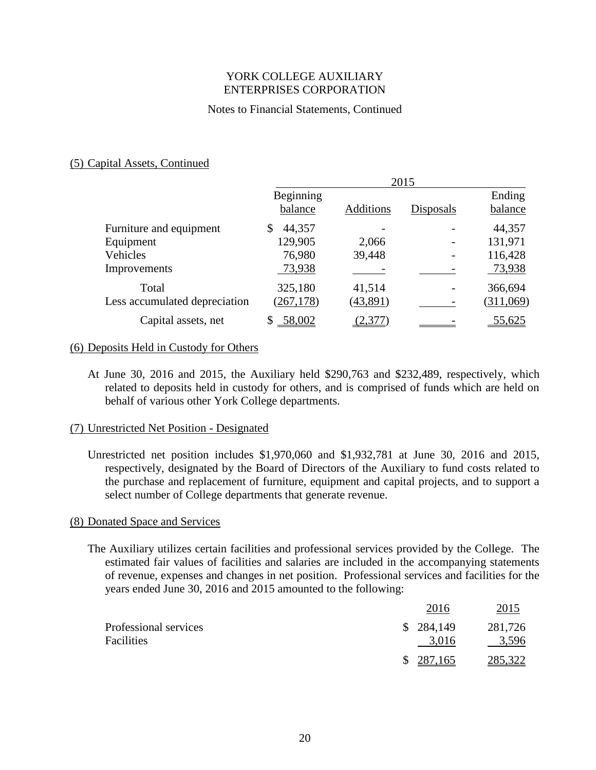### Notes to Financial Statements, Continued

### (5) Capital Assets, Continued

|                               | 2015         |                  |           |           |
|-------------------------------|--------------|------------------|-----------|-----------|
|                               | Beginning    |                  |           | Ending    |
|                               | balance      | <b>Additions</b> | Disposals | balance   |
| Furniture and equipment       | 44,357<br>\$ |                  |           | 44,357    |
| Equipment                     | 129,905      | 2,066            |           | 131,971   |
| Vehicles                      | 76,980       | 39,448           |           | 116,428   |
| Improvements                  | 73,938       |                  |           | 73,938    |
| Total                         | 325,180      | 41,514           |           | 366,694   |
| Less accumulated depreciation | (267, 178)   | (43,891)         |           | (311,069) |
| Capital assets, net           | $-58,002$    | (2,377)          |           | 55,625    |

#### (6) Deposits Held in Custody for Others

At June 30, 2016 and 2015, the Auxiliary held \$290,763 and \$232,489, respectively, which related to deposits held in custody for others, and is comprised of funds which are held on behalf of various other York College departments.

### (7) Unrestricted Net Position - Designated

Unrestricted net position includes \$1,970,060 and \$1,932,781 at June 30, 2016 and 2015, respectively, designated by the Board of Directors of the Auxiliary to fund costs related to the purchase and replacement of furniture, equipment and capital projects, and to support a select number of College departments that generate revenue.

#### (8) Donated Space and Services

The Auxiliary utilizes certain facilities and professional services provided by the College. The estimated fair values of facilities and salaries are included in the accompanying statements of revenue, expenses and changes in net position. Professional services and facilities for the years ended June 30, 2016 and 2015 amounted to the following:

|                       | 2016      | 2015    |
|-----------------------|-----------|---------|
| Professional services | \$284,149 | 281,726 |
| Facilities            | 3,016     | 3,596   |
|                       | \$287,165 | 285,322 |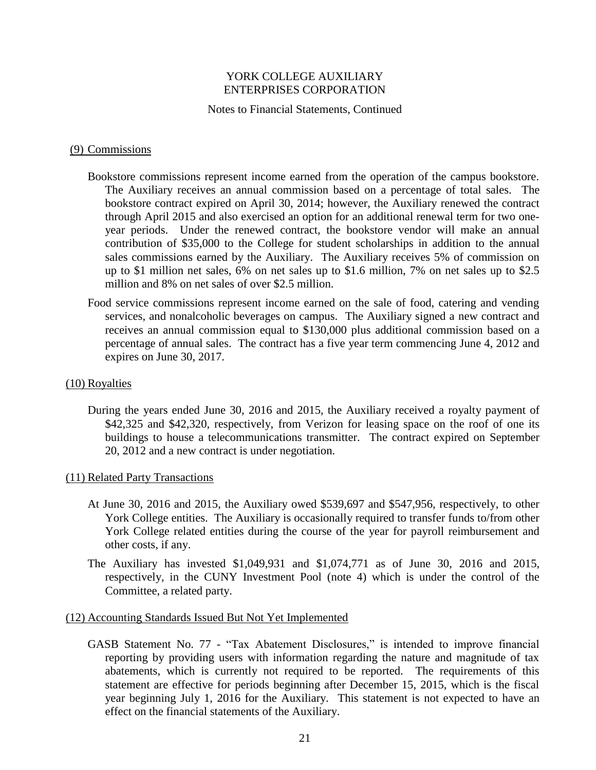#### Notes to Financial Statements, Continued

#### (9) Commissions

- Bookstore commissions represent income earned from the operation of the campus bookstore. The Auxiliary receives an annual commission based on a percentage of total sales. The bookstore contract expired on April 30, 2014; however, the Auxiliary renewed the contract through April 2015 and also exercised an option for an additional renewal term for two oneyear periods. Under the renewed contract, the bookstore vendor will make an annual contribution of \$35,000 to the College for student scholarships in addition to the annual sales commissions earned by the Auxiliary. The Auxiliary receives 5% of commission on up to \$1 million net sales, 6% on net sales up to \$1.6 million, 7% on net sales up to \$2.5 million and 8% on net sales of over \$2.5 million.
- Food service commissions represent income earned on the sale of food, catering and vending services, and nonalcoholic beverages on campus. The Auxiliary signed a new contract and receives an annual commission equal to \$130,000 plus additional commission based on a percentage of annual sales. The contract has a five year term commencing June 4, 2012 and expires on June 30, 2017.

#### (10) Royalties

During the years ended June 30, 2016 and 2015, the Auxiliary received a royalty payment of \$42,325 and \$42,320, respectively, from Verizon for leasing space on the roof of one its buildings to house a telecommunications transmitter. The contract expired on September 20, 2012 and a new contract is under negotiation.

### (11) Related Party Transactions

- At June 30, 2016 and 2015, the Auxiliary owed \$539,697 and \$547,956, respectively, to other York College entities. The Auxiliary is occasionally required to transfer funds to/from other York College related entities during the course of the year for payroll reimbursement and other costs, if any.
- The Auxiliary has invested \$1,049,931 and \$1,074,771 as of June 30, 2016 and 2015, respectively, in the CUNY Investment Pool (note 4) which is under the control of the Committee, a related party.

#### (12) Accounting Standards Issued But Not Yet Implemented

GASB Statement No. 77 - "Tax Abatement Disclosures," is intended to improve financial reporting by providing users with information regarding the nature and magnitude of tax abatements, which is currently not required to be reported. The requirements of this statement are effective for periods beginning after December 15, 2015, which is the fiscal year beginning July 1, 2016 for the Auxiliary. This statement is not expected to have an effect on the financial statements of the Auxiliary.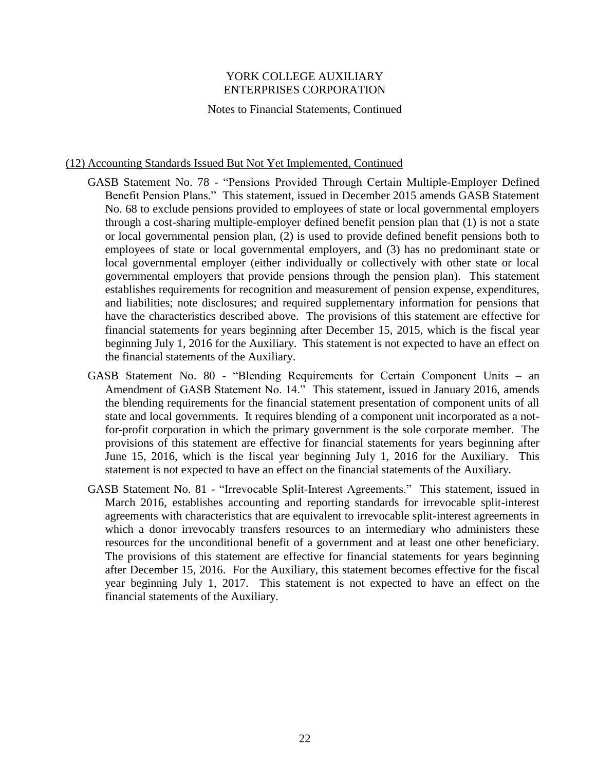Notes to Financial Statements, Continued

### (12) Accounting Standards Issued But Not Yet Implemented, Continued

- GASB Statement No. 78 "Pensions Provided Through Certain Multiple-Employer Defined Benefit Pension Plans." This statement, issued in December 2015 amends GASB Statement No. 68 to exclude pensions provided to employees of state or local governmental employers through a cost-sharing multiple-employer defined benefit pension plan that (1) is not a state or local governmental pension plan, (2) is used to provide defined benefit pensions both to employees of state or local governmental employers, and (3) has no predominant state or local governmental employer (either individually or collectively with other state or local governmental employers that provide pensions through the pension plan). This statement establishes requirements for recognition and measurement of pension expense, expenditures, and liabilities; note disclosures; and required supplementary information for pensions that have the characteristics described above. The provisions of this statement are effective for financial statements for years beginning after December 15, 2015, which is the fiscal year beginning July 1, 2016 for the Auxiliary. This statement is not expected to have an effect on the financial statements of the Auxiliary.
- GASB Statement No. 80 "Blending Requirements for Certain Component Units an Amendment of GASB Statement No. 14." This statement, issued in January 2016, amends the blending requirements for the financial statement presentation of component units of all state and local governments. It requires blending of a component unit incorporated as a notfor-profit corporation in which the primary government is the sole corporate member. The provisions of this statement are effective for financial statements for years beginning after June 15, 2016, which is the fiscal year beginning July 1, 2016 for the Auxiliary. This statement is not expected to have an effect on the financial statements of the Auxiliary.
- GASB Statement No. 81 "Irrevocable Split-Interest Agreements." This statement, issued in March 2016, establishes accounting and reporting standards for irrevocable split-interest agreements with characteristics that are equivalent to irrevocable split-interest agreements in which a donor irrevocably transfers resources to an intermediary who administers these resources for the unconditional benefit of a government and at least one other beneficiary. The provisions of this statement are effective for financial statements for years beginning after December 15, 2016. For the Auxiliary, this statement becomes effective for the fiscal year beginning July 1, 2017. This statement is not expected to have an effect on the financial statements of the Auxiliary.